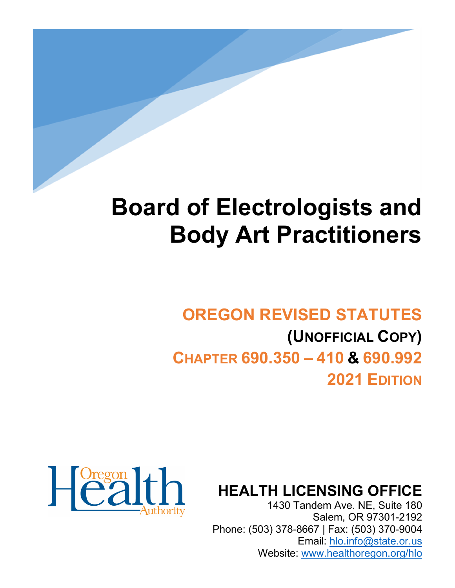# **Board of Electrologists and Body Art Practitioners**

# **OREGON REVISED STATUTES (UNOFFICIAL COPY) CHAPTER 690.350 – 410 & 690.992 2021 EDITION**



**HEALTH LICENSING OFFICE**

1430 Tandem Ave. NE, Suite 180 Salem, OR 97301-2192 Phone: (503) 378-8667 | Fax: (503) 370-9004 Email: [hlo.info@state.or.us](mailto:hlo.info@stae.or.us) Website: [www.healthoregon.org/hlo](http://www.healthoregon.org/hlo)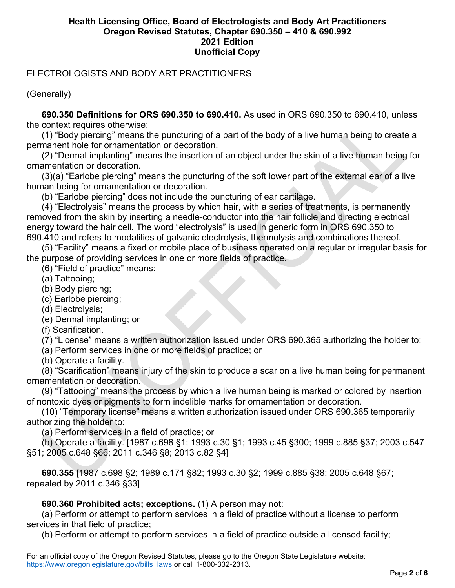### ELECTROLOGISTS AND BODY ART PRACTITIONERS

(Generally)

 **690.350 Definitions for ORS 690.350 to 690.410.** As used in ORS 690.350 to 690.410, unless the context requires otherwise:

 (1) "Body piercing" means the puncturing of a part of the body of a live human being to create a permanent hole for ornamentation or decoration.

 (2) "Dermal implanting" means the insertion of an object under the skin of a live human being for ornamentation or decoration.

 (3)(a) "Earlobe piercing" means the puncturing of the soft lower part of the external ear of a live human being for ornamentation or decoration.

(b) "Earlobe piercing" does not include the puncturing of ear cartilage.

 (4) "Electrolysis" means the process by which hair, with a series of treatments, is permanently removed from the skin by inserting a needle-conductor into the hair follicle and directing electrical energy toward the hair cell. The word "electrolysis" is used in generic form in ORS 690.350 to 690.410 and refers to modalities of galvanic electrolysis, thermolysis and combinations thereof.

 (5) "Facility" means a fixed or mobile place of business operated on a regular or irregular basis for the purpose of providing services in one or more fields of practice.

(6) "Field of practice" means:

(a) Tattooing;

(b) Body piercing;

(c) Earlobe piercing;

(d) Electrolysis;

(e) Dermal implanting; or

(f) Scarification.

(7) "License" means a written authorization issued under ORS 690.365 authorizing the holder to:

(a) Perform services in one or more fields of practice; or

(b) Operate a facility.

 (8) "Scarification" means injury of the skin to produce a scar on a live human being for permanent ornamentation or decoration.

 (9) "Tattooing" means the process by which a live human being is marked or colored by insertion of nontoxic dyes or pigments to form indelible marks for ornamentation or decoration.

 (10) "Temporary license" means a written authorization issued under ORS 690.365 temporarily authorizing the holder to:

(a) Perform services in a field of practice; or

 (b) Operate a facility. [1987 c.698 §1; 1993 c.30 §1; 1993 c.45 §300; 1999 c.885 §37; 2003 c.547 §51; 2005 c.648 §66; 2011 c.346 §8; 2013 c.82 §4]

 **690.355** [1987 c.698 §2; 1989 c.171 §82; 1993 c.30 §2; 1999 c.885 §38; 2005 c.648 §67; repealed by 2011 c.346 §33]

 **690.360 Prohibited acts; exceptions.** (1) A person may not:

 (a) Perform or attempt to perform services in a field of practice without a license to perform services in that field of practice;

(b) Perform or attempt to perform services in a field of practice outside a licensed facility;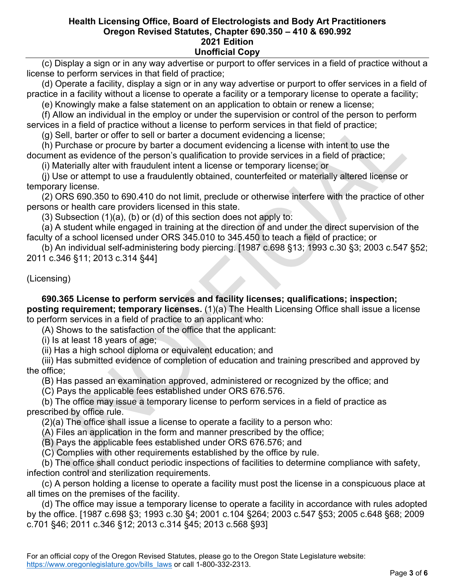(c) Display a sign or in any way advertise or purport to offer services in a field of practice without a license to perform services in that field of practice;

 (d) Operate a facility, display a sign or in any way advertise or purport to offer services in a field of practice in a facility without a license to operate a facility or a temporary license to operate a facility;

(e) Knowingly make a false statement on an application to obtain or renew a license;

 (f) Allow an individual in the employ or under the supervision or control of the person to perform services in a field of practice without a license to perform services in that field of practice;

(g) Sell, barter or offer to sell or barter a document evidencing a license;

 (h) Purchase or procure by barter a document evidencing a license with intent to use the document as evidence of the person's qualification to provide services in a field of practice;

(i) Materially alter with fraudulent intent a license or temporary license; or

 (j) Use or attempt to use a fraudulently obtained, counterfeited or materially altered license or temporary license.

 (2) ORS 690.350 to 690.410 do not limit, preclude or otherwise interfere with the practice of other persons or health care providers licensed in this state.

(3) Subsection  $(1)(a)$ ,  $(b)$  or  $(d)$  of this section does not apply to:

 (a) A student while engaged in training at the direction of and under the direct supervision of the faculty of a school licensed under ORS 345.010 to 345.450 to teach a field of practice; or

 (b) An individual self-administering body piercing. [1987 c.698 §13; 1993 c.30 §3; 2003 c.547 §52; 2011 c.346 §11; 2013 c.314 §44]

(Licensing)

 **690.365 License to perform services and facility licenses; qualifications; inspection; posting requirement; temporary licenses.** (1)(a) The Health Licensing Office shall issue a license to perform services in a field of practice to an applicant who:

(A) Shows to the satisfaction of the office that the applicant:

(i) Is at least 18 years of age;

(ii) Has a high school diploma or equivalent education; and

 (iii) Has submitted evidence of completion of education and training prescribed and approved by the office;

(B) Has passed an examination approved, administered or recognized by the office; and

(C) Pays the applicable fees established under ORS 676.576.

 (b) The office may issue a temporary license to perform services in a field of practice as prescribed by office rule.

(2)(a) The office shall issue a license to operate a facility to a person who:

(A) Files an application in the form and manner prescribed by the office;

(B) Pays the applicable fees established under ORS 676.576; and

(C) Complies with other requirements established by the office by rule.

 (b) The office shall conduct periodic inspections of facilities to determine compliance with safety, infection control and sterilization requirements.

 (c) A person holding a license to operate a facility must post the license in a conspicuous place at all times on the premises of the facility.

 (d) The office may issue a temporary license to operate a facility in accordance with rules adopted by the office. [1987 c.698 §3; 1993 c.30 §4; 2001 c.104 §264; 2003 c.547 §53; 2005 c.648 §68; 2009 c.701 §46; 2011 c.346 §12; 2013 c.314 §45; 2013 c.568 §93]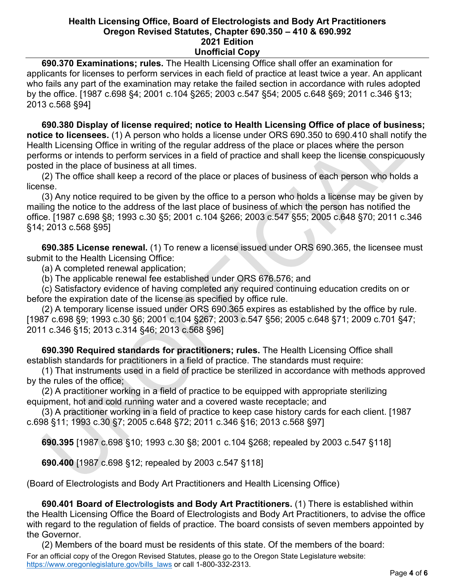**690.370 Examinations; rules.** The Health Licensing Office shall offer an examination for applicants for licenses to perform services in each field of practice at least twice a year. An applicant who fails any part of the examination may retake the failed section in accordance with rules adopted by the office. [1987 c.698 §4; 2001 c.104 §265; 2003 c.547 §54; 2005 c.648 §69; 2011 c.346 §13; 2013 c.568 §94]

 **690.380 Display of license required; notice to Health Licensing Office of place of business; notice to licensees.** (1) A person who holds a license under ORS 690.350 to 690.410 shall notify the Health Licensing Office in writing of the regular address of the place or places where the person performs or intends to perform services in a field of practice and shall keep the license conspicuously posted in the place of business at all times.

 (2) The office shall keep a record of the place or places of business of each person who holds a license.

 (3) Any notice required to be given by the office to a person who holds a license may be given by mailing the notice to the address of the last place of business of which the person has notified the office. [1987 c.698 §8; 1993 c.30 §5; 2001 c.104 §266; 2003 c.547 §55; 2005 c.648 §70; 2011 c.346 §14; 2013 c.568 §95]

 **690.385 License renewal.** (1) To renew a license issued under ORS 690.365, the licensee must submit to the Health Licensing Office:

(a) A completed renewal application;

(b) The applicable renewal fee established under ORS 676.576; and

 (c) Satisfactory evidence of having completed any required continuing education credits on or before the expiration date of the license as specified by office rule.

 (2) A temporary license issued under ORS 690.365 expires as established by the office by rule. [1987 c.698 §9; 1993 c.30 §6; 2001 c.104 §267; 2003 c.547 §56; 2005 c.648 §71; 2009 c.701 §47; 2011 c.346 §15; 2013 c.314 §46; 2013 c.568 §96]

 **690.390 Required standards for practitioners; rules.** The Health Licensing Office shall establish standards for practitioners in a field of practice. The standards must require:

 (1) That instruments used in a field of practice be sterilized in accordance with methods approved by the rules of the office;

 (2) A practitioner working in a field of practice to be equipped with appropriate sterilizing equipment, hot and cold running water and a covered waste receptacle; and

 (3) A practitioner working in a field of practice to keep case history cards for each client. [1987 c.698 §11; 1993 c.30 §7; 2005 c.648 §72; 2011 c.346 §16; 2013 c.568 §97]

 **690.395** [1987 c.698 §10; 1993 c.30 §8; 2001 c.104 §268; repealed by 2003 c.547 §118]

 **690.400** [1987 c.698 §12; repealed by 2003 c.547 §118]

(Board of Electrologists and Body Art Practitioners and Health Licensing Office)

 **690.401 Board of Electrologists and Body Art Practitioners.** (1) There is established within the Health Licensing Office the Board of Electrologists and Body Art Practitioners, to advise the office with regard to the regulation of fields of practice. The board consists of seven members appointed by the Governor.

For an official copy of the Oregon Revised Statutes, please go to the Oregon State Legislature website: [https://www.oregonlegislature.gov/bills\\_laws](https://www.oregonlegislature.gov/bills_laws) or call 1-800-332-2313. (2) Members of the board must be residents of this state. Of the members of the board: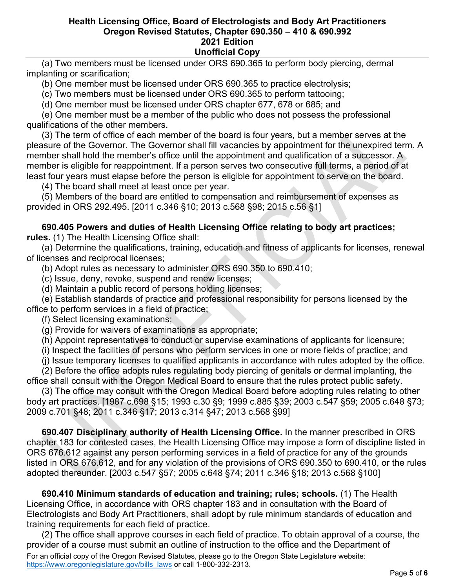(a) Two members must be licensed under ORS 690.365 to perform body piercing, dermal implanting or scarification;

(b) One member must be licensed under ORS 690.365 to practice electrolysis;

(c) Two members must be licensed under ORS 690.365 to perform tattooing;

(d) One member must be licensed under ORS chapter 677, 678 or 685; and

 (e) One member must be a member of the public who does not possess the professional qualifications of the other members.

 (3) The term of office of each member of the board is four years, but a member serves at the pleasure of the Governor. The Governor shall fill vacancies by appointment for the unexpired term. A member shall hold the member's office until the appointment and qualification of a successor. A member is eligible for reappointment. If a person serves two consecutive full terms, a period of at least four years must elapse before the person is eligible for appointment to serve on the board.

(4) The board shall meet at least once per year.

 (5) Members of the board are entitled to compensation and reimbursement of expenses as provided in ORS 292.495. [2011 c.346 §10; 2013 c.568 §98; 2015 c.56 §1]

## **690.405 Powers and duties of Health Licensing Office relating to body art practices;**

**rules.** (1) The Health Licensing Office shall:

 (a) Determine the qualifications, training, education and fitness of applicants for licenses, renewal of licenses and reciprocal licenses;

(b) Adopt rules as necessary to administer ORS 690.350 to 690.410;

(c) Issue, deny, revoke, suspend and renew licenses;

(d) Maintain a public record of persons holding licenses;

 (e) Establish standards of practice and professional responsibility for persons licensed by the office to perform services in a field of practice;

(f) Select licensing examinations;

(g) Provide for waivers of examinations as appropriate;

(h) Appoint representatives to conduct or supervise examinations of applicants for licensure;

(i) Inspect the facilities of persons who perform services in one or more fields of practice; and

(j) Issue temporary licenses to qualified applicants in accordance with rules adopted by the office.

 (2) Before the office adopts rules regulating body piercing of genitals or dermal implanting, the office shall consult with the Oregon Medical Board to ensure that the rules protect public safety.

 (3) The office may consult with the Oregon Medical Board before adopting rules relating to other body art practices. [1987 c.698 §15; 1993 c.30 §9; 1999 c.885 §39; 2003 c.547 §59; 2005 c.648 §73; 2009 c.701 §48; 2011 c.346 §17; 2013 c.314 §47; 2013 c.568 §99]

 **690.407 Disciplinary authority of Health Licensing Office.** In the manner prescribed in ORS chapter 183 for contested cases, the Health Licensing Office may impose a form of discipline listed in ORS 676.612 against any person performing services in a field of practice for any of the grounds listed in ORS 676.612, and for any violation of the provisions of ORS 690.350 to 690.410, or the rules adopted thereunder. [2003 c.547 §57; 2005 c.648 §74; 2011 c.346 §18; 2013 c.568 §100]

 **690.410 Minimum standards of education and training; rules; schools.** (1) The Health Licensing Office, in accordance with ORS chapter 183 and in consultation with the Board of Electrologists and Body Art Practitioners, shall adopt by rule minimum standards of education and training requirements for each field of practice.

For an official copy of the Oregon Revised Statutes, please go to the Oregon State Legislature website: [https://www.oregonlegislature.gov/bills\\_laws](https://www.oregonlegislature.gov/bills_laws) or call 1-800-332-2313. (2) The office shall approve courses in each field of practice. To obtain approval of a course, the provider of a course must submit an outline of instruction to the office and the Department of